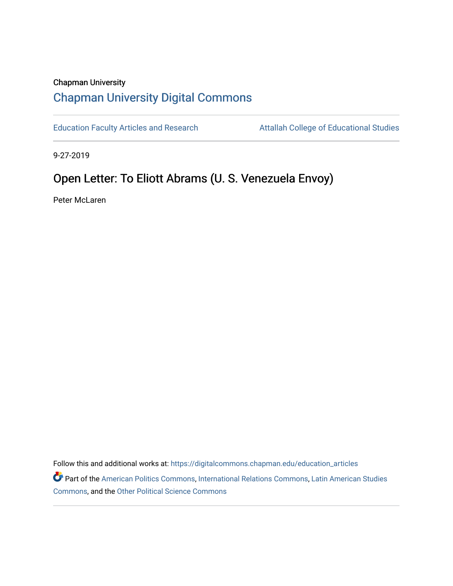## Chapman University [Chapman University Digital Commons](https://digitalcommons.chapman.edu/)

[Education Faculty Articles and Research](https://digitalcommons.chapman.edu/education_articles) Attallah College of Educational Studies

9-27-2019

# Open Letter: To Eliott Abrams (U. S. Venezuela Envoy)

Peter McLaren

Follow this and additional works at: [https://digitalcommons.chapman.edu/education\\_articles](https://digitalcommons.chapman.edu/education_articles?utm_source=digitalcommons.chapman.edu%2Feducation_articles%2F251&utm_medium=PDF&utm_campaign=PDFCoverPages)

Part of the [American Politics Commons,](http://network.bepress.com/hgg/discipline/387?utm_source=digitalcommons.chapman.edu%2Feducation_articles%2F251&utm_medium=PDF&utm_campaign=PDFCoverPages) [International Relations Commons,](http://network.bepress.com/hgg/discipline/389?utm_source=digitalcommons.chapman.edu%2Feducation_articles%2F251&utm_medium=PDF&utm_campaign=PDFCoverPages) [Latin American Studies](http://network.bepress.com/hgg/discipline/363?utm_source=digitalcommons.chapman.edu%2Feducation_articles%2F251&utm_medium=PDF&utm_campaign=PDFCoverPages)  [Commons](http://network.bepress.com/hgg/discipline/363?utm_source=digitalcommons.chapman.edu%2Feducation_articles%2F251&utm_medium=PDF&utm_campaign=PDFCoverPages), and the [Other Political Science Commons](http://network.bepress.com/hgg/discipline/392?utm_source=digitalcommons.chapman.edu%2Feducation_articles%2F251&utm_medium=PDF&utm_campaign=PDFCoverPages)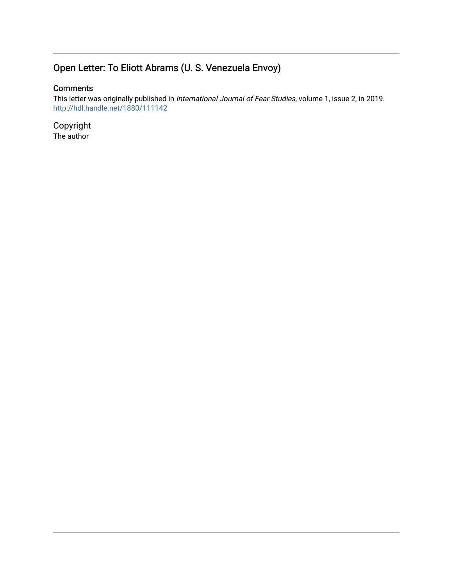## Open Letter: To Eliott Abrams (U. S. Venezuela Envoy)

## **Comments**

This letter was originally published in International Journal of Fear Studies, volume 1, issue 2, in 2019. <http://hdl.handle.net/1880/111142>

Copyright The author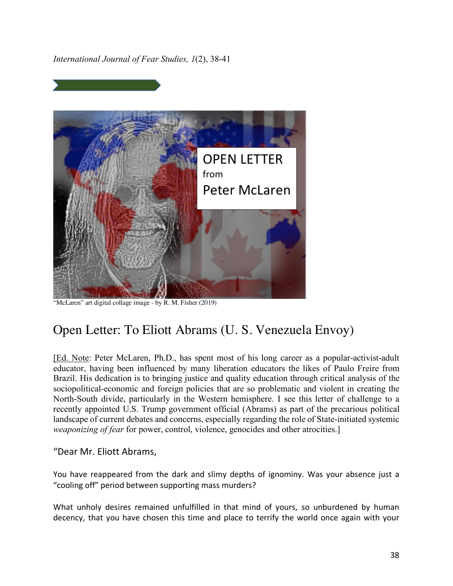*International Journal of Fear Studies, 1*(2), 38-41



"McLaren" art digital collage image - by R. M. Fisher (2019)

# Open Letter: To Eliott Abrams (U. S. Venezuela Envoy)

[Ed. Note: Peter McLaren, Ph.D., has spent most of his long career as a popular-activist-adult educator, having been influenced by many liberation educators the likes of Paulo Freire from Brazil. His dedication is to bringing justice and quality education through critical analysis of the sociopolitical-economic and foreign policies that are so problematic and violent in creating the North-South divide, particularly in the Western hemisphere. I see this letter of challenge to a recently appointed U.S. Trump government official (Abrams) as part of the precarious political landscape of current debates and concerns, especially regarding the role of State-initiated systemic *weaponizing of fear* for power, control, violence, genocides and other atrocities.]

### "Dear Mr. Eliott Abrams,

You have reappeared from the dark and slimy depths of ignominy. Was your absence just a "cooling off" period between supporting mass murders?

What unholy desires remained unfulfilled in that mind of yours, so unburdened by human decency, that you have chosen this time and place to terrify the world once again with your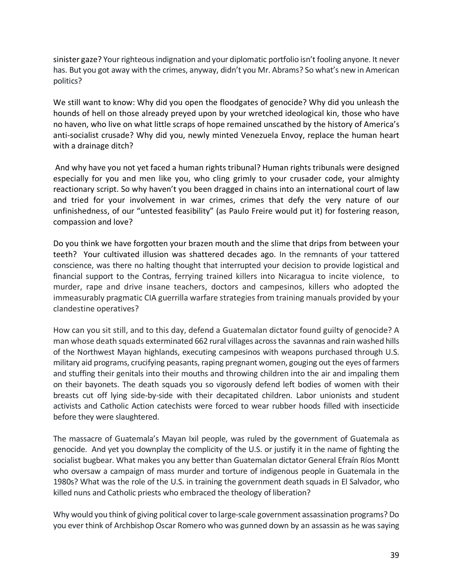sinister gaze? Your righteous indignation and your diplomatic portfolio isn't fooling anyone. It never has. But you got away with the crimes, anyway, didn't you Mr. Abrams? So what's new in American politics?

We still want to know: Why did you open the floodgates of genocide? Why did you unleash the hounds of hell on those already preyed upon by your wretched ideological kin, those who have no haven, who live on what little scraps of hope remained unscathed by the history of America's anti-socialist crusade? Why did you, newly minted Venezuela Envoy, replace the human heart with a drainage ditch?

And why have you not yet faced a human rights tribunal? Human rights tribunals were designed especially for you and men like you, who cling grimly to your crusader code, your almighty reactionary script. So why haven't you been dragged in chains into an international court of law and tried for your involvement in war crimes, crimes that defy the very nature of our unfinishedness, of our "untested feasibility" (as Paulo Freire would put it) for fostering reason, compassion and love?

Do you think we have forgotten your brazen mouth and the slime that drips from between your teeth? Your cultivated illusion was shattered decades ago. In the remnants of your tattered conscience, was there no halting thought that interrupted your decision to provide logistical and financial support to the Contras, ferrying trained killers into Nicaragua to incite violence, to murder, rape and drive insane teachers, doctors and campesinos, killers who adopted the immeasurably pragmatic CIA guerrilla warfare strategies from training manuals provided by your clandestine operatives?

How can you sit still, and to this day, defend a Guatemalan dictator found guilty of genocide? A man whose death squads exterminated 662 rural villages across the savannas and rain washed hills of the Northwest Mayan highlands, executing campesinos with weapons purchased through U.S. military aid programs, crucifying peasants, raping pregnant women, gouging out the eyes of farmers and stuffing their genitals into their mouths and throwing children into the air and impaling them on their bayonets. The death squads you so vigorously defend left bodies of women with their breasts cut off lying side-by-side with their decapitated children. Labor unionists and student activists and Catholic Action catechists were forced to wear rubber hoods filled with insecticide before they were slaughtered.

The massacre of Guatemala's Mayan Ixil people, was ruled by the government of Guatemala as genocide. And yet you downplay the complicity of the U.S. or justify it in the name of fighting the socialist bugbear. What makes you any better than Guatemalan dictator General Efraín Ríos Montt who oversaw a campaign of mass murder and torture of indigenous people in Guatemala in the 1980s? What was the role of the U.S. in training the government death squads in El Salvador, who killed nuns and Catholic priests who embraced the theology of liberation?

Why would you think of giving political cover to large-scale government assassination programs? Do you ever think of Archbishop Oscar Romero who was gunned down by an assassin as he was saying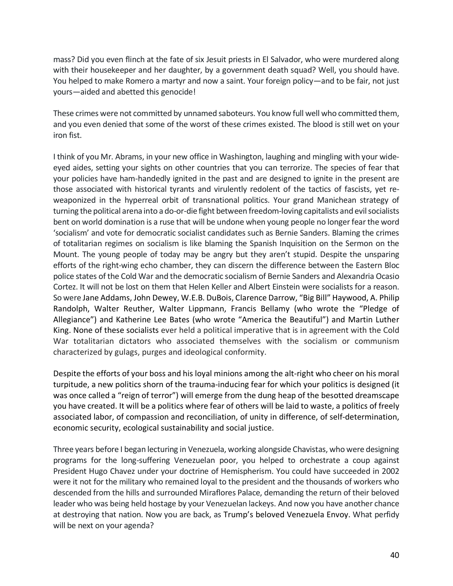mass? Did you even flinch at the fate of six Jesuit priests in El Salvador, who were murdered along with their housekeeper and her daughter, by a government death squad? Well, you should have. You helped to make Romero a martyr and now a saint. Your foreign policy—and to be fair, not just yours—aided and abetted this genocide!

These crimes were not committed by unnamed saboteurs. You know full well who committed them, and you even denied that some of the worst of these crimes existed. The blood is still wet on your iron fist.

I think of you Mr. Abrams, in your new office in Washington, laughing and mingling with your wideeyed aides, setting your sights on other countries that you can terrorize. The species of fear that your policies have ham-handedly ignited in the past and are designed to ignite in the present are those associated with historical tyrants and virulently redolent of the tactics of fascists, yet reweaponized in the hyperreal orbit of transnational politics. Your grand Manichean strategy of turning the political arena into a do-or-die fight between freedom-loving capitalists and evil socialists bent on world domination is a ruse that will be undone when young people no longer fear the word 'socialism' and vote for democratic socialist candidates such as Bernie Sanders. Blaming the crimes of totalitarian regimes on socialism is like blaming the Spanish Inquisition on the Sermon on the Mount. The young people of today may be angry but they aren't stupid. Despite the unsparing efforts of the right-wing echo chamber, they can discern the difference between the Eastern Bloc police states of the Cold War and the democratic socialism of Bernie Sanders and Alexandria Ocasio Cortez. It will not be lost on them that Helen Keller and Albert Einstein were socialists for a reason. So were Jane Addams, John Dewey, W.E.B. DuBois, Clarence Darrow, "Big Bill" Haywood, A. Philip Randolph, Walter Reuther, Walter Lippmann, Francis Bellamy (who wrote the "Pledge of Allegiance") and Katherine Lee Bates (who wrote "America the Beautiful") and Martin Luther King. None of these socialists ever held a political imperative that is in agreement with the Cold War totalitarian dictators who associated themselves with the socialism or communism characterized by gulags, purges and ideological conformity.

Despite the efforts of your boss and his loyal minions among the alt-right who cheer on his moral turpitude, a new politics shorn of the trauma-inducing fear for which your politics is designed (it was once called a "reign of terror") will emerge from the dung heap of the besotted dreamscape you have created. It will be a politics where fear of others will be laid to waste, a politics of freely associated labor, of compassion and reconciliation, of unity in difference, of self-determination, economic security, ecological sustainability and social justice.

Three years before I began lecturing in Venezuela, working alongside Chavistas, who were designing programs for the long-suffering Venezuelan poor, you helped to orchestrate a coup against President Hugo Chavez under your doctrine of Hemispherism. You could have succeeded in 2002 were it not for the military who remained loyal to the president and the thousands of workers who descended from the hills and surrounded Miraflores Palace, demanding the return of their beloved leader who was being held hostage by your Venezuelan lackeys. And now you have another chance at destroying that nation. Now you are back, as Trump's beloved Venezuela Envoy. What perfidy will be next on your agenda?